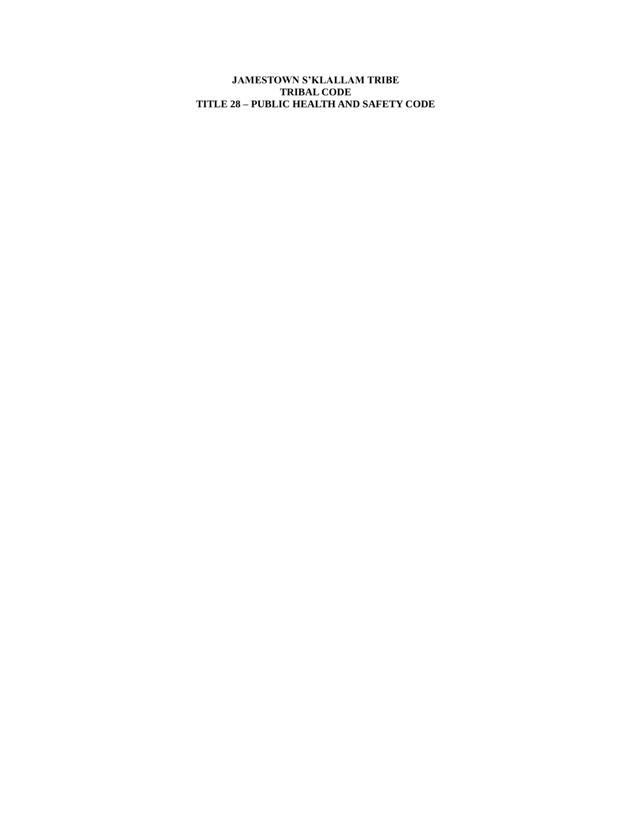**JAMESTOWN S'KLALLAM TRIBE TRIBAL CODE TITLE 28 – PUBLIC HEALTH AND SAFETY CODE**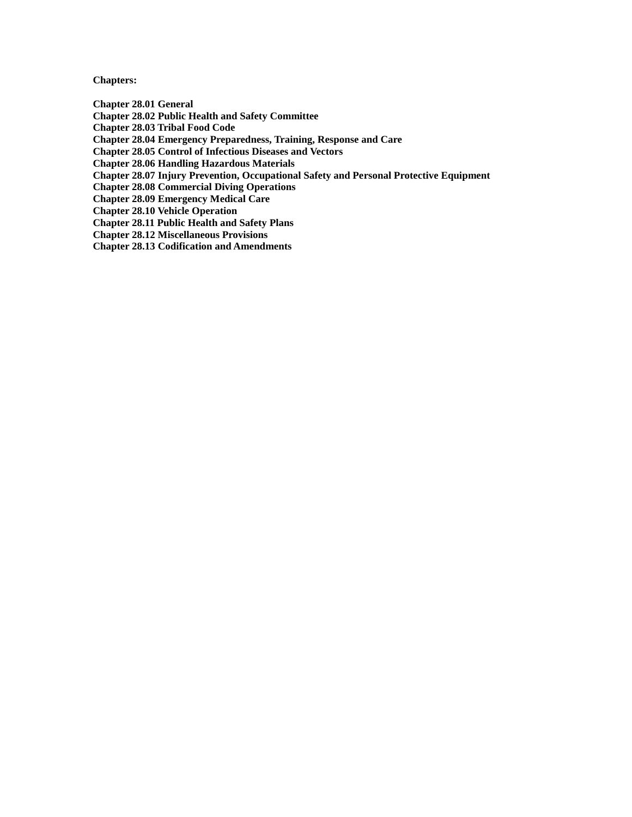**Chapters:**

**[Chapter 28.01 General](#page-2-0)**

**Chapter 28.02 [Public Health and Safety Committee](#page-4-0)**

**[Chapter 28.03 Tribal Food Code](#page-5-0)**

**Chapter 28.04 [Emergency Preparedness, Training, Response and Care](#page-7-0)**

**Chapter 28.05 [Control of Infectious Diseases and Vectors](#page-9-0)**

**Chapter 28.06 [Handling Hazardous Materials](#page-11-0)**

**Chapter 28.07 [Injury Prevention, Occupational Safety and Personal Protective Equipment](#page-12-0)**

**Chapter 28.08 [Commercial Diving Operations](#page-13-0)**

**Chapter 28.09 [Emergency Medical Care](#page-14-0)**

**Chapter 28.10 [Vehicle Operation](#page-15-0)**

**Chapter 28.11 [Public Health and Safety Plans](#page-16-0)**

**Chapter 28.12 [Miscellaneous Provisions](#page-17-0)**

**Chapter 28.13 [Codification and Amendments](#page-19-0)**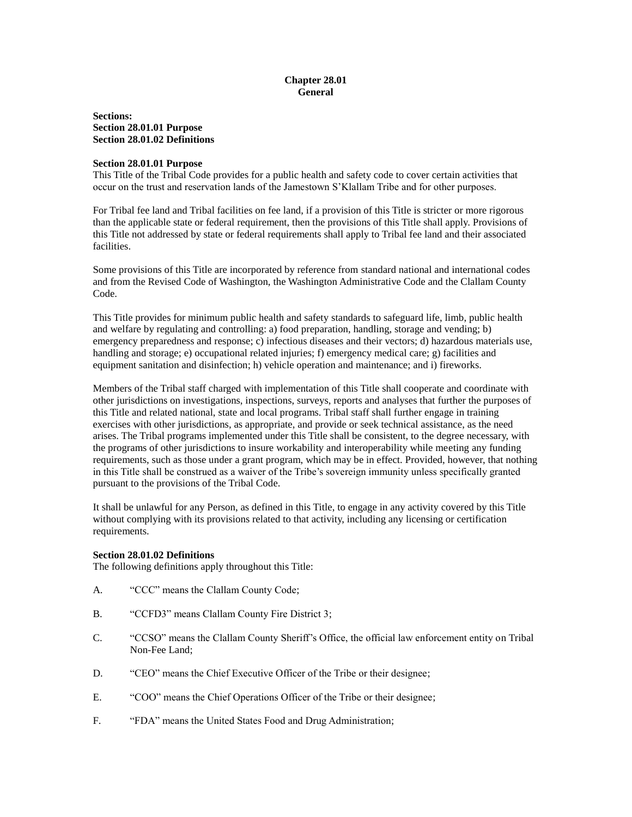## **Chapter 28.01 General**

<span id="page-2-0"></span>**Sections: Section 28.01.01 Purpose Section 28.01.02 Definitions**

#### **Section 28.01.01 Purpose**

This Title of the Tribal Code provides for a public health and safety code to cover certain activities that occur on the trust and reservation lands of the Jamestown S'Klallam Tribe and for other purposes.

For Tribal fee land and Tribal facilities on fee land, if a provision of this Title is stricter or more rigorous than the applicable state or federal requirement, then the provisions of this Title shall apply. Provisions of this Title not addressed by state or federal requirements shall apply to Tribal fee land and their associated facilities.

Some provisions of this Title are incorporated by reference from standard national and international codes and from the Revised Code of Washington, the Washington Administrative Code and the Clallam County Code.

This Title provides for minimum public health and safety standards to safeguard life, limb, public health and welfare by regulating and controlling: a) food preparation, handling, storage and vending; b) emergency preparedness and response; c) infectious diseases and their vectors; d) hazardous materials use, handling and storage; e) occupational related injuries; f) emergency medical care; g) facilities and equipment sanitation and disinfection; h) vehicle operation and maintenance; and i) fireworks.

Members of the Tribal staff charged with implementation of this Title shall cooperate and coordinate with other jurisdictions on investigations, inspections, surveys, reports and analyses that further the purposes of this Title and related national, state and local programs. Tribal staff shall further engage in training exercises with other jurisdictions, as appropriate, and provide or seek technical assistance, as the need arises. The Tribal programs implemented under this Title shall be consistent, to the degree necessary, with the programs of other jurisdictions to insure workability and interoperability while meeting any funding requirements, such as those under a grant program, which may be in effect. Provided, however, that nothing in this Title shall be construed as a waiver of the Tribe's sovereign immunity unless specifically granted pursuant to the provisions of the Tribal Code.

It shall be unlawful for any Person, as defined in this Title, to engage in any activity covered by this Title without complying with its provisions related to that activity, including any licensing or certification requirements.

#### **Section 28.01.02 Definitions**

The following definitions apply throughout this Title:

- A. "CCC" means the Clallam County Code;
- B. "CCFD3" means Clallam County Fire District 3;
- C. "CCSO" means the Clallam County Sheriff's Office, the official law enforcement entity on Tribal Non-Fee Land;
- D. "CEO" means the Chief Executive Officer of the Tribe or their designee;
- E. "COO" means the Chief Operations Officer of the Tribe or their designee;
- F. "FDA" means the United States Food and Drug Administration;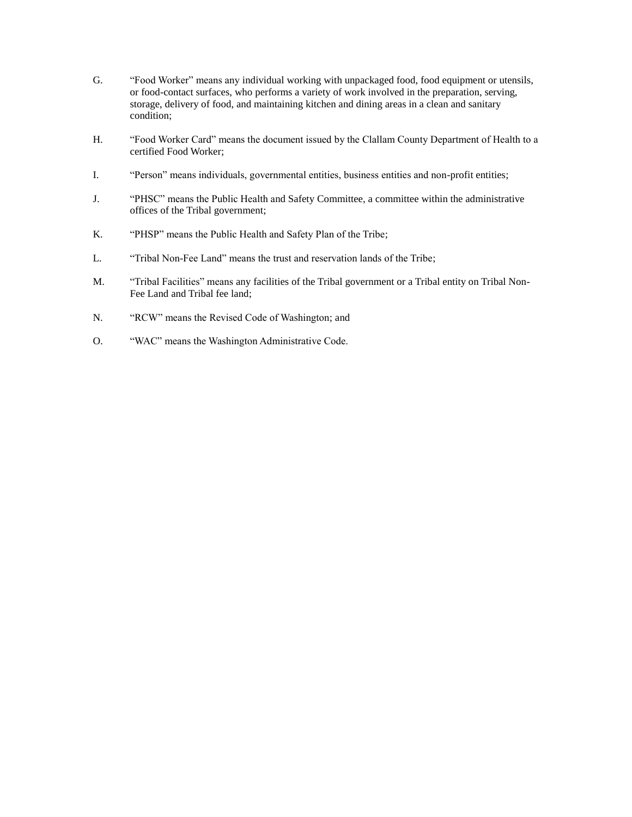- G. "Food Worker" means any individual working with unpackaged food, food equipment or utensils, or food-contact surfaces, who performs a variety of work involved in the preparation, serving, storage, delivery of food, and maintaining kitchen and dining areas in a clean and sanitary condition;
- H. "Food Worker Card" means the document issued by the Clallam County Department of Health to a certified Food Worker;
- I. "Person" means individuals, governmental entities, business entities and non-profit entities;
- J. "PHSC" means the Public Health and Safety Committee, a committee within the administrative offices of the Tribal government;
- K. "PHSP" means the Public Health and Safety Plan of the Tribe;
- L. "Tribal Non-Fee Land" means the trust and reservation lands of the Tribe;
- M. "Tribal Facilities" means any facilities of the Tribal government or a Tribal entity on Tribal Non-Fee Land and Tribal fee land;
- N. "RCW" means the Revised Code of Washington; and
- O. "WAC" means the Washington Administrative Code.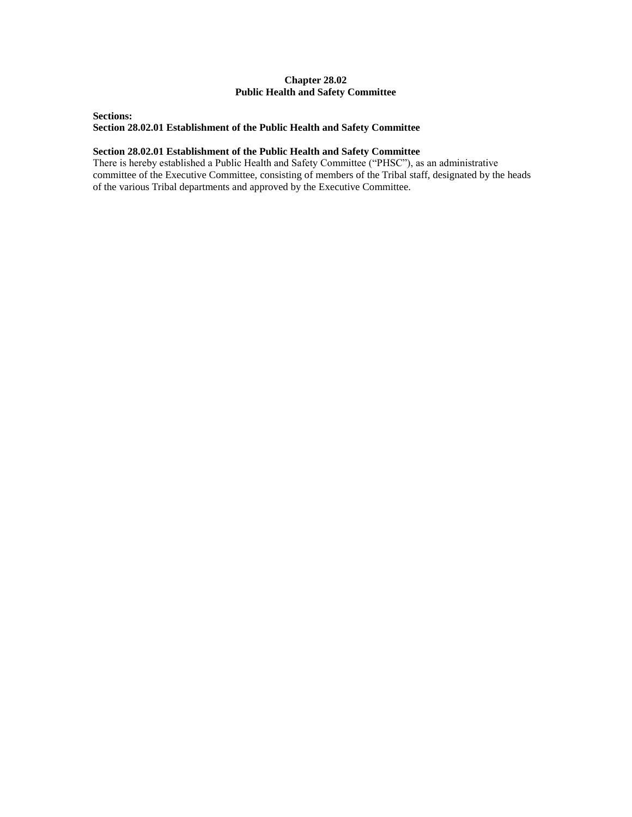## **Chapter 28.02 Public Health and Safety Committee**

## <span id="page-4-0"></span>**Sections: Section 28.02.01 Establishment of the Public Health and Safety Committee**

### **Section 28.02.01 Establishment of the Public Health and Safety Committee**

There is hereby established a Public Health and Safety Committee ("PHSC"), as an administrative committee of the Executive Committee, consisting of members of the Tribal staff, designated by the heads of the various Tribal departments and approved by the Executive Committee.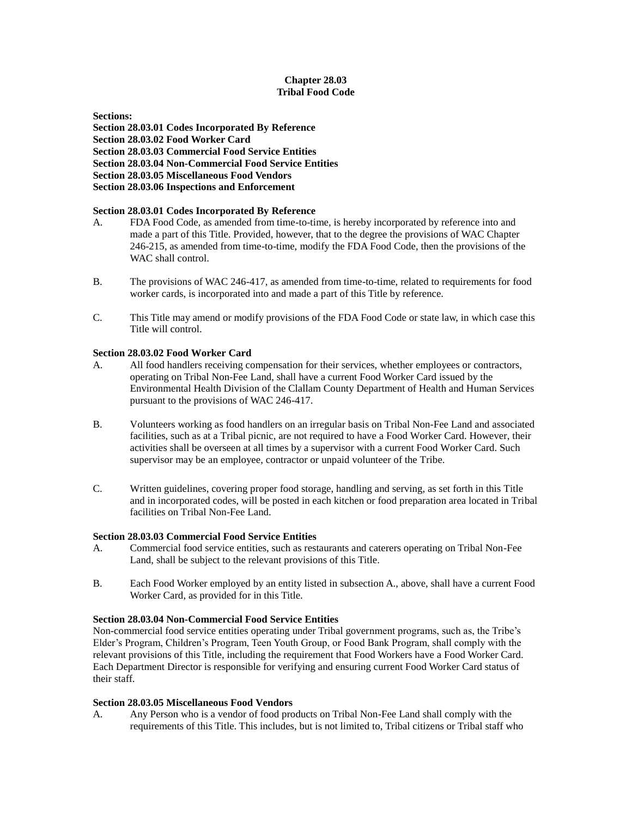## **Chapter 28.03 Tribal Food Code**

#### <span id="page-5-0"></span>**Sections:**

**Section 28.03.01 Codes Incorporated By Reference Section 28.03.02 Food Worker Card Section 28.03.03 Commercial Food Service Entities Section 28.03.04 Non-Commercial Food Service Entities Section 28.03.05 Miscellaneous Food Vendors Section 28.03.06 Inspections and Enforcement**

### **Section 28.03.01 Codes Incorporated By Reference**

- A. FDA Food Code, as amended from time-to-time, is hereby incorporated by reference into and made a part of this Title. Provided, however, that to the degree the provisions of WAC Chapter 246-215, as amended from time-to-time, modify the FDA Food Code, then the provisions of the WAC shall control.
- B. The provisions of WAC 246-417, as amended from time-to-time, related to requirements for food worker cards, is incorporated into and made a part of this Title by reference.
- C. This Title may amend or modify provisions of the FDA Food Code or state law, in which case this Title will control.

### **Section 28.03.02 Food Worker Card**

- A. All food handlers receiving compensation for their services, whether employees or contractors, operating on Tribal Non-Fee Land, shall have a current Food Worker Card issued by the Environmental Health Division of the Clallam County Department of Health and Human Services pursuant to the provisions of WAC 246-417.
- B. Volunteers working as food handlers on an irregular basis on Tribal Non-Fee Land and associated facilities, such as at a Tribal picnic, are not required to have a Food Worker Card. However, their activities shall be overseen at all times by a supervisor with a current Food Worker Card. Such supervisor may be an employee, contractor or unpaid volunteer of the Tribe.
- C. Written guidelines, covering proper food storage, handling and serving, as set forth in this Title and in incorporated codes, will be posted in each kitchen or food preparation area located in Tribal facilities on Tribal Non-Fee Land.

#### **Section 28.03.03 Commercial Food Service Entities**

- A. Commercial food service entities, such as restaurants and caterers operating on Tribal Non-Fee Land, shall be subject to the relevant provisions of this Title.
- B. Each Food Worker employed by an entity listed in subsection A., above, shall have a current Food Worker Card, as provided for in this Title.

#### **Section 28.03.04 Non-Commercial Food Service Entities**

Non-commercial food service entities operating under Tribal government programs, such as, the Tribe's Elder's Program, Children's Program, Teen Youth Group, or Food Bank Program, shall comply with the relevant provisions of this Title, including the requirement that Food Workers have a Food Worker Card. Each Department Director is responsible for verifying and ensuring current Food Worker Card status of their staff.

#### **Section 28.03.05 Miscellaneous Food Vendors**

A. Any Person who is a vendor of food products on Tribal Non-Fee Land shall comply with the requirements of this Title. This includes, but is not limited to, Tribal citizens or Tribal staff who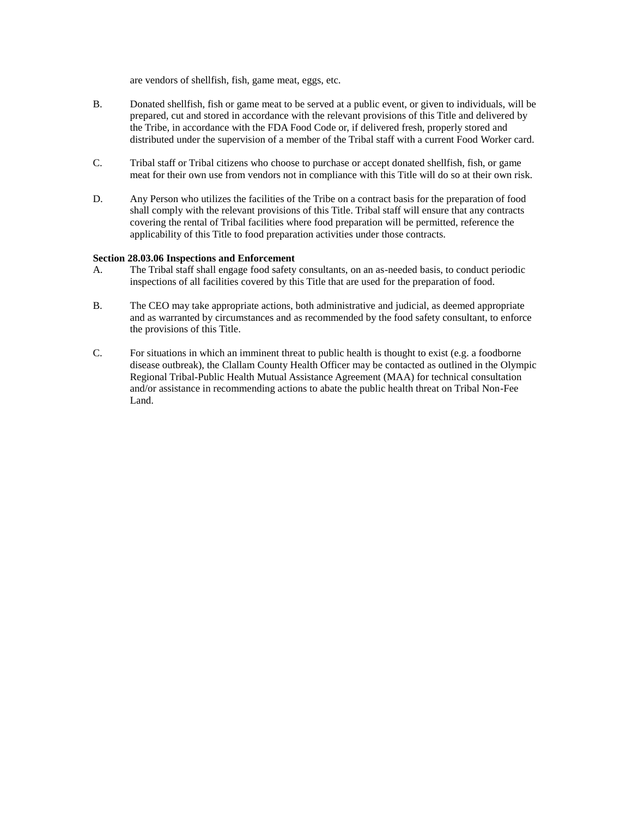are vendors of shellfish, fish, game meat, eggs, etc.

- B. Donated shellfish, fish or game meat to be served at a public event, or given to individuals, will be prepared, cut and stored in accordance with the relevant provisions of this Title and delivered by the Tribe, in accordance with the FDA Food Code or, if delivered fresh, properly stored and distributed under the supervision of a member of the Tribal staff with a current Food Worker card.
- C. Tribal staff or Tribal citizens who choose to purchase or accept donated shellfish, fish, or game meat for their own use from vendors not in compliance with this Title will do so at their own risk.
- D. Any Person who utilizes the facilities of the Tribe on a contract basis for the preparation of food shall comply with the relevant provisions of this Title. Tribal staff will ensure that any contracts covering the rental of Tribal facilities where food preparation will be permitted, reference the applicability of this Title to food preparation activities under those contracts.

#### **Section 28.03.06 Inspections and Enforcement**

- A. The Tribal staff shall engage food safety consultants, on an as-needed basis, to conduct periodic inspections of all facilities covered by this Title that are used for the preparation of food.
- B. The CEO may take appropriate actions, both administrative and judicial, as deemed appropriate and as warranted by circumstances and as recommended by the food safety consultant, to enforce the provisions of this Title.
- C. For situations in which an imminent threat to public health is thought to exist (e.g. a foodborne disease outbreak), the Clallam County Health Officer may be contacted as outlined in the Olympic Regional Tribal-Public Health Mutual Assistance Agreement (MAA) for technical consultation and/or assistance in recommending actions to abate the public health threat on Tribal Non-Fee Land.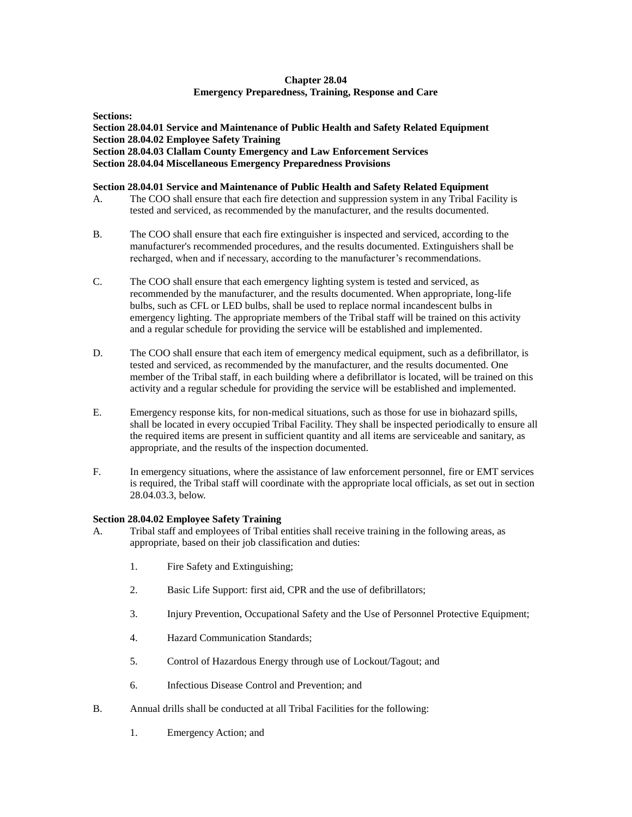## **Chapter 28.04 Emergency Preparedness, Training, Response and Care**

<span id="page-7-0"></span>**Sections:**

**Section 28.04.01 Service and Maintenance of Public Health and Safety Related Equipment Section 28.04.02 Employee Safety Training Section 28.04.03 Clallam County Emergency and Law Enforcement Services Section 28.04.04 Miscellaneous Emergency Preparedness Provisions**

### **Section 28.04.01 Service and Maintenance of Public Health and Safety Related Equipment**

- A. The COO shall ensure that each fire detection and suppression system in any Tribal Facility is tested and serviced, as recommended by the manufacturer, and the results documented.
- B. The COO shall ensure that each fire extinguisher is inspected and serviced, according to the manufacturer's recommended procedures, and the results documented. Extinguishers shall be recharged, when and if necessary, according to the manufacturer's recommendations.
- C. The COO shall ensure that each emergency lighting system is tested and serviced, as recommended by the manufacturer, and the results documented. When appropriate, long-life bulbs, such as CFL or LED bulbs, shall be used to replace normal incandescent bulbs in emergency lighting. The appropriate members of the Tribal staff will be trained on this activity and a regular schedule for providing the service will be established and implemented.
- D. The COO shall ensure that each item of emergency medical equipment, such as a defibrillator, is tested and serviced, as recommended by the manufacturer, and the results documented. One member of the Tribal staff, in each building where a defibrillator is located, will be trained on this activity and a regular schedule for providing the service will be established and implemented.
- E. Emergency response kits, for non-medical situations, such as those for use in biohazard spills, shall be located in every occupied Tribal Facility. They shall be inspected periodically to ensure all the required items are present in sufficient quantity and all items are serviceable and sanitary, as appropriate, and the results of the inspection documented.
- F. In emergency situations, where the assistance of law enforcement personnel, fire or EMT services is required, the Tribal staff will coordinate with the appropriate local officials, as set out in section 28.04.03.3, below.

## **Section 28.04.02 Employee Safety Training**

- A. Tribal staff and employees of Tribal entities shall receive training in the following areas, as appropriate, based on their job classification and duties:
	- 1. Fire Safety and Extinguishing;
	- 2. Basic Life Support: first aid, CPR and the use of defibrillators;
	- 3. Injury Prevention, Occupational Safety and the Use of Personnel Protective Equipment;
	- 4. Hazard Communication Standards;
	- 5. Control of Hazardous Energy through use of Lockout/Tagout; and
	- 6. Infectious Disease Control and Prevention; and
- B. Annual drills shall be conducted at all Tribal Facilities for the following:
	- 1. Emergency Action; and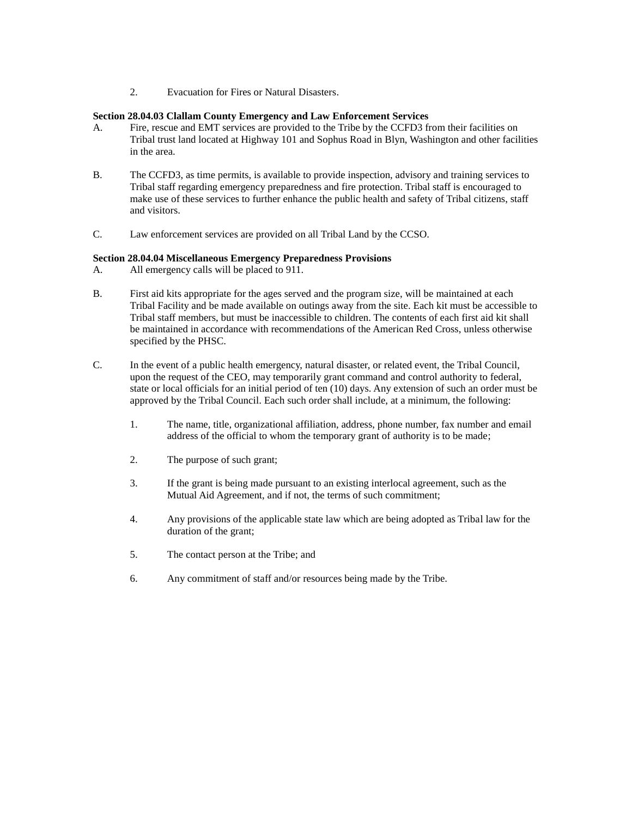2. Evacuation for Fires or Natural Disasters.

### **Section 28.04.03 Clallam County Emergency and Law Enforcement Services**

- A. Fire, rescue and EMT services are provided to the Tribe by the CCFD3 from their facilities on Tribal trust land located at Highway 101 and Sophus Road in Blyn, Washington and other facilities in the area.
- B. The CCFD3, as time permits, is available to provide inspection, advisory and training services to Tribal staff regarding emergency preparedness and fire protection. Tribal staff is encouraged to make use of these services to further enhance the public health and safety of Tribal citizens, staff and visitors.
- C. Law enforcement services are provided on all Tribal Land by the CCSO.

### **Section 28.04.04 Miscellaneous Emergency Preparedness Provisions**

- A. All emergency calls will be placed to 911.
- B. First aid kits appropriate for the ages served and the program size, will be maintained at each Tribal Facility and be made available on outings away from the site. Each kit must be accessible to Tribal staff members, but must be inaccessible to children. The contents of each first aid kit shall be maintained in accordance with recommendations of the American Red Cross, unless otherwise specified by the PHSC.
- C. In the event of a public health emergency, natural disaster, or related event, the Tribal Council, upon the request of the CEO, may temporarily grant command and control authority to federal, state or local officials for an initial period of ten (10) days. Any extension of such an order must be approved by the Tribal Council. Each such order shall include, at a minimum, the following:
	- 1. The name, title, organizational affiliation, address, phone number, fax number and email address of the official to whom the temporary grant of authority is to be made;
	- 2. The purpose of such grant;
	- 3. If the grant is being made pursuant to an existing interlocal agreement, such as the Mutual Aid Agreement, and if not, the terms of such commitment;
	- 4. Any provisions of the applicable state law which are being adopted as Tribal law for the duration of the grant;
	- 5. The contact person at the Tribe; and
	- 6. Any commitment of staff and/or resources being made by the Tribe.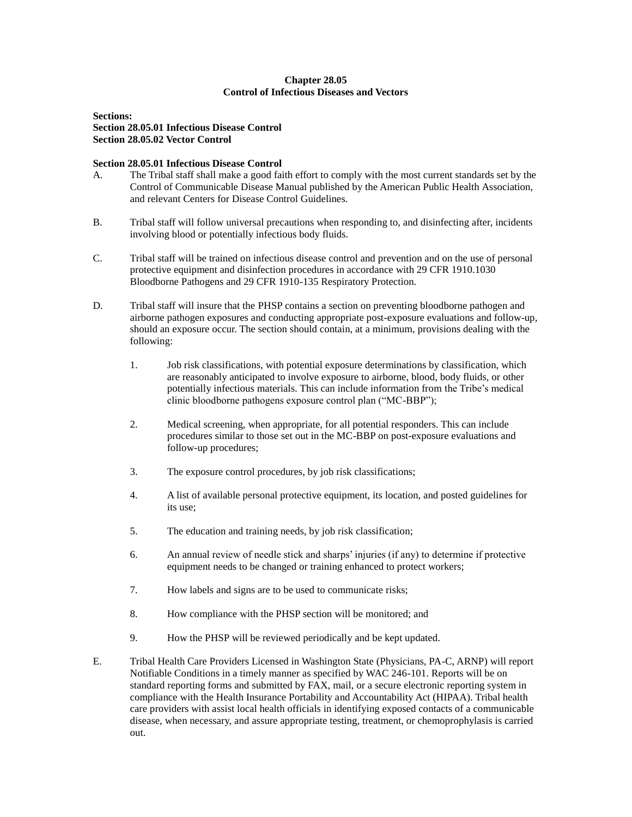### **Chapter 28.05 Control of Infectious Diseases and Vectors**

<span id="page-9-0"></span>**Sections: Section 28.05.01 Infectious Disease Control Section 28.05.02 Vector Control**

### **Section 28.05.01 Infectious Disease Control**

- A. The Tribal staff shall make a good faith effort to comply with the most current standards set by the Control of Communicable Disease Manual published by the American Public Health Association, and relevant Centers for Disease Control Guidelines.
- B. Tribal staff will follow universal precautions when responding to, and disinfecting after, incidents involving blood or potentially infectious body fluids.
- C. Tribal staff will be trained on infectious disease control and prevention and on the use of personal protective equipment and disinfection procedures in accordance with 29 CFR 1910.1030 Bloodborne Pathogens and 29 CFR 1910-135 Respiratory Protection.
- D. Tribal staff will insure that the PHSP contains a section on preventing bloodborne pathogen and airborne pathogen exposures and conducting appropriate post-exposure evaluations and follow-up, should an exposure occur. The section should contain, at a minimum, provisions dealing with the following:
	- 1. Job risk classifications, with potential exposure determinations by classification, which are reasonably anticipated to involve exposure to airborne, blood, body fluids, or other potentially infectious materials. This can include information from the Tribe's medical clinic bloodborne pathogens exposure control plan ("MC-BBP");
	- 2. Medical screening, when appropriate, for all potential responders. This can include procedures similar to those set out in the MC-BBP on post-exposure evaluations and follow-up procedures;
	- 3. The exposure control procedures, by job risk classifications;
	- 4. A list of available personal protective equipment, its location, and posted guidelines for its use;
	- 5. The education and training needs, by job risk classification;
	- 6. An annual review of needle stick and sharps' injuries (if any) to determine if protective equipment needs to be changed or training enhanced to protect workers;
	- 7. How labels and signs are to be used to communicate risks;
	- 8. How compliance with the PHSP section will be monitored; and
	- 9. How the PHSP will be reviewed periodically and be kept updated.
- E. Tribal Health Care Providers Licensed in Washington State (Physicians, PA-C, ARNP) will report Notifiable Conditions in a timely manner as specified by WAC 246-101. Reports will be on standard reporting forms and submitted by FAX, mail, or a secure electronic reporting system in compliance with the Health Insurance Portability and Accountability Act (HIPAA). Tribal health care providers with assist local health officials in identifying exposed contacts of a communicable disease, when necessary, and assure appropriate testing, treatment, or chemoprophylasis is carried out.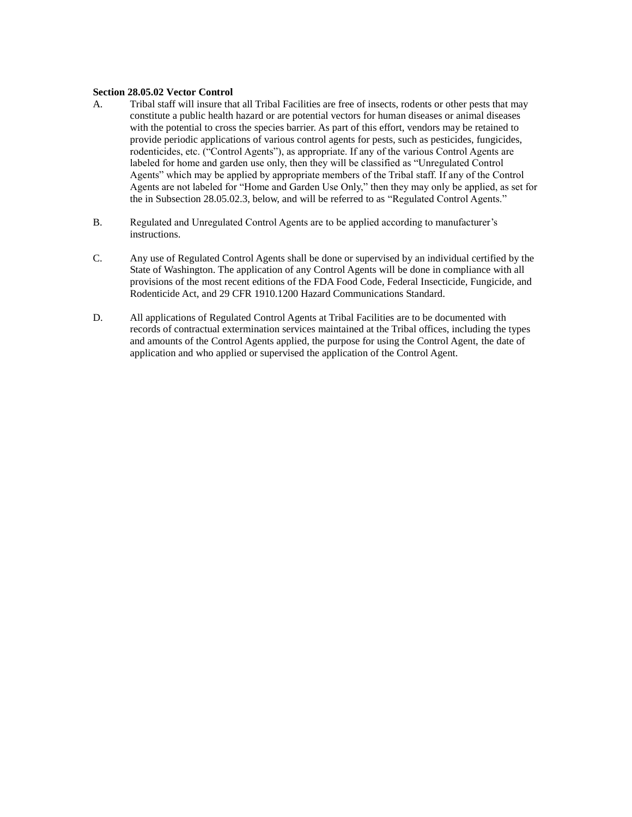#### **Section 28.05.02 Vector Control**

- A. Tribal staff will insure that all Tribal Facilities are free of insects, rodents or other pests that may constitute a public health hazard or are potential vectors for human diseases or animal diseases with the potential to cross the species barrier. As part of this effort, vendors may be retained to provide periodic applications of various control agents for pests, such as pesticides, fungicides, rodenticides, etc. ("Control Agents"), as appropriate. If any of the various Control Agents are labeled for home and garden use only, then they will be classified as "Unregulated Control Agents" which may be applied by appropriate members of the Tribal staff. If any of the Control Agents are not labeled for "Home and Garden Use Only," then they may only be applied, as set for the in Subsection 28.05.02.3, below, and will be referred to as "Regulated Control Agents."
- B. Regulated and Unregulated Control Agents are to be applied according to manufacturer's instructions.
- C. Any use of Regulated Control Agents shall be done or supervised by an individual certified by the State of Washington. The application of any Control Agents will be done in compliance with all provisions of the most recent editions of the FDA Food Code, Federal Insecticide, Fungicide, and Rodenticide Act, and 29 CFR 1910.1200 Hazard Communications Standard.
- D. All applications of Regulated Control Agents at Tribal Facilities are to be documented with records of contractual extermination services maintained at the Tribal offices, including the types and amounts of the Control Agents applied, the purpose for using the Control Agent, the date of application and who applied or supervised the application of the Control Agent.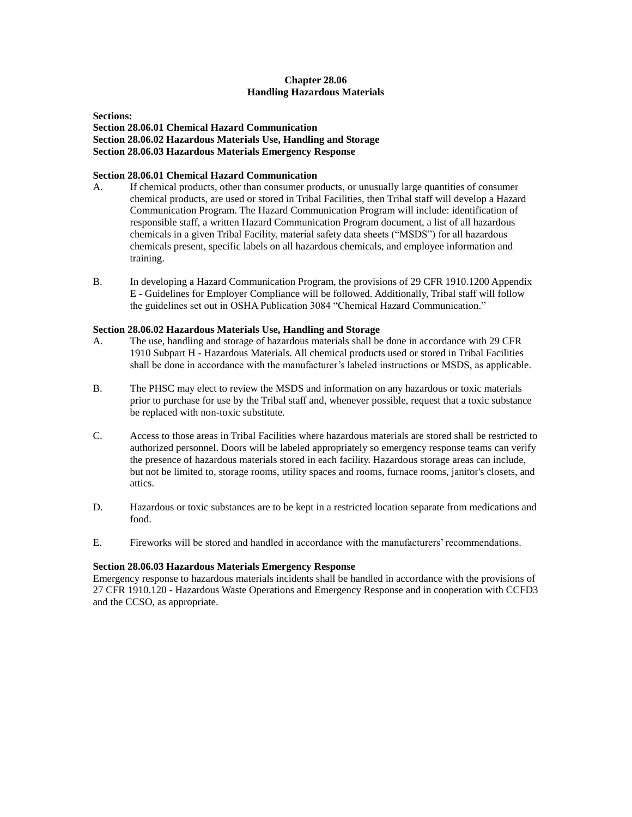## **Chapter 28.06 Handling Hazardous Materials**

<span id="page-11-0"></span>**Sections:**

**Section 28.06.01 Chemical Hazard Communication Section 28.06.02 Hazardous Materials Use, Handling and Storage Section 28.06.03 Hazardous Materials Emergency Response**

## **Section 28.06.01 Chemical Hazard Communication**

- A. If chemical products, other than consumer products, or unusually large quantities of consumer chemical products, are used or stored in Tribal Facilities, then Tribal staff will develop a Hazard Communication Program. The Hazard Communication Program will include: identification of responsible staff, a written Hazard Communication Program document, a list of all hazardous chemicals in a given Tribal Facility, material safety data sheets ("MSDS") for all hazardous chemicals present, specific labels on all hazardous chemicals, and employee information and training.
- B. In developing a Hazard Communication Program, the provisions of 29 CFR 1910.1200 Appendix E - Guidelines for Employer Compliance will be followed. Additionally, Tribal staff will follow the guidelines set out in OSHA Publication 3084 "Chemical Hazard Communication."

### **Section 28.06.02 Hazardous Materials Use, Handling and Storage**

- A. The use, handling and storage of hazardous materials shall be done in accordance with 29 CFR 1910 Subpart H - Hazardous Materials. All chemical products used or stored in Tribal Facilities shall be done in accordance with the manufacturer's labeled instructions or MSDS, as applicable.
- B. The PHSC may elect to review the MSDS and information on any hazardous or toxic materials prior to purchase for use by the Tribal staff and, whenever possible, request that a toxic substance be replaced with non-toxic substitute.
- C. Access to those areas in Tribal Facilities where hazardous materials are stored shall be restricted to authorized personnel. Doors will be labeled appropriately so emergency response teams can verify the presence of hazardous materials stored in each facility. Hazardous storage areas can include, but not be limited to, storage rooms, utility spaces and rooms, furnace rooms, janitor's closets, and attics.
- D. Hazardous or toxic substances are to be kept in a restricted location separate from medications and food.
- E. Fireworks will be stored and handled in accordance with the manufacturers' recommendations.

#### **Section 28.06.03 Hazardous Materials Emergency Response**

Emergency response to hazardous materials incidents shall be handled in accordance with the provisions of 27 CFR 1910.120 - Hazardous Waste Operations and Emergency Response and in cooperation with CCFD3 and the CCSO, as appropriate.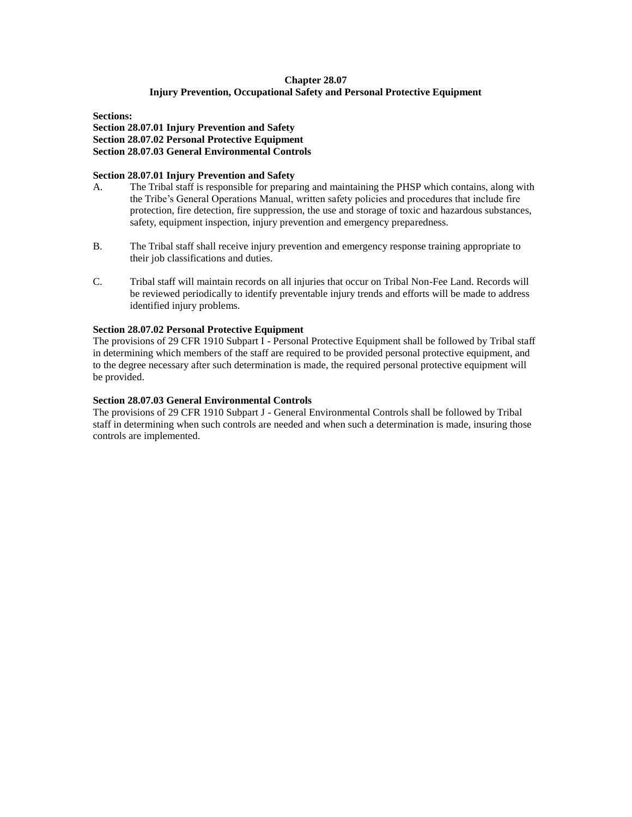## **Chapter 28.07 Injury Prevention, Occupational Safety and Personal Protective Equipment**

<span id="page-12-0"></span>**Sections:**

**Section 28.07.01 Injury Prevention and Safety Section 28.07.02 Personal Protective Equipment Section 28.07.03 General Environmental Controls**

### **Section 28.07.01 Injury Prevention and Safety**

- A. The Tribal staff is responsible for preparing and maintaining the PHSP which contains, along with the Tribe's General Operations Manual, written safety policies and procedures that include fire protection, fire detection, fire suppression, the use and storage of toxic and hazardous substances, safety, equipment inspection, injury prevention and emergency preparedness.
- B. The Tribal staff shall receive injury prevention and emergency response training appropriate to their job classifications and duties.
- C. Tribal staff will maintain records on all injuries that occur on Tribal Non-Fee Land. Records will be reviewed periodically to identify preventable injury trends and efforts will be made to address identified injury problems.

### **Section 28.07.02 Personal Protective Equipment**

The provisions of 29 CFR 1910 Subpart I - Personal Protective Equipment shall be followed by Tribal staff in determining which members of the staff are required to be provided personal protective equipment, and to the degree necessary after such determination is made, the required personal protective equipment will be provided.

### **Section 28.07.03 General Environmental Controls**

The provisions of 29 CFR 1910 Subpart J - General Environmental Controls shall be followed by Tribal staff in determining when such controls are needed and when such a determination is made, insuring those controls are implemented.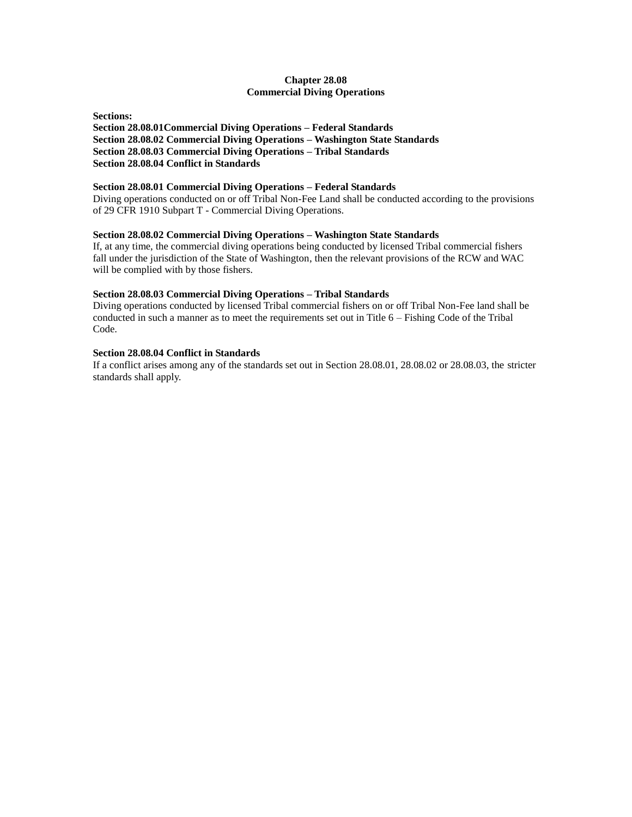## **Chapter 28.08 Commercial Diving Operations**

<span id="page-13-0"></span>**Sections: Section 28.08.01Commercial Diving Operations – Federal Standards Section 28.08.02 Commercial Diving Operations – Washington State Standards Section 28.08.03 Commercial Diving Operations – Tribal Standards Section 28.08.04 Conflict in Standards**

### **Section 28.08.01 Commercial Diving Operations – Federal Standards**

Diving operations conducted on or off Tribal Non-Fee Land shall be conducted according to the provisions of 29 CFR 1910 Subpart T - Commercial Diving Operations.

### **Section 28.08.02 Commercial Diving Operations – Washington State Standards**

If, at any time, the commercial diving operations being conducted by licensed Tribal commercial fishers fall under the jurisdiction of the State of Washington, then the relevant provisions of the RCW and WAC will be complied with by those fishers.

#### **Section 28.08.03 Commercial Diving Operations – Tribal Standards**

Diving operations conducted by licensed Tribal commercial fishers on or off Tribal Non-Fee land shall be conducted in such a manner as to meet the requirements set out in Title 6 – Fishing Code of the Tribal Code.

### **Section 28.08.04 Conflict in Standards**

If a conflict arises among any of the standards set out in Section 28.08.01, 28.08.02 or 28.08.03, the stricter standards shall apply.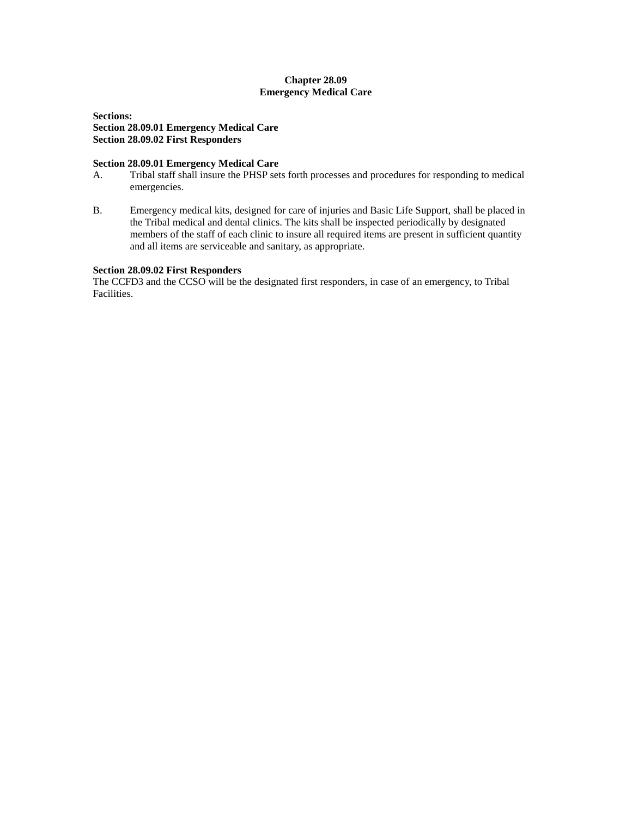## **Chapter 28.09 Emergency Medical Care**

<span id="page-14-0"></span>**Sections: Section 28.09.01 Emergency Medical Care Section 28.09.02 First Responders**

### **Section 28.09.01 Emergency Medical Care**

- A. Tribal staff shall insure the PHSP sets forth processes and procedures for responding to medical emergencies.
- B. Emergency medical kits, designed for care of injuries and Basic Life Support, shall be placed in the Tribal medical and dental clinics. The kits shall be inspected periodically by designated members of the staff of each clinic to insure all required items are present in sufficient quantity and all items are serviceable and sanitary, as appropriate.

### **Section 28.09.02 First Responders**

The CCFD3 and the CCSO will be the designated first responders, in case of an emergency, to Tribal Facilities.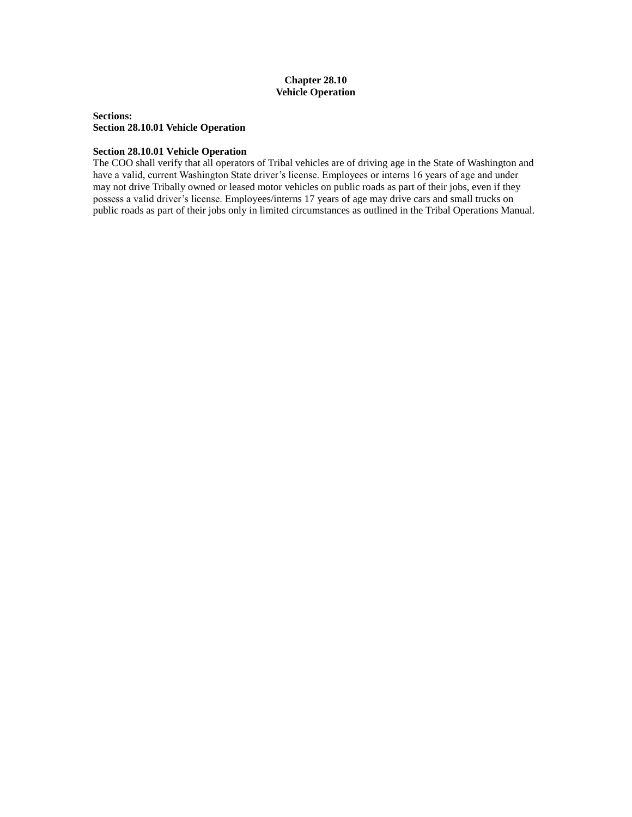## **Chapter 28.10 Vehicle Operation**

<span id="page-15-0"></span>**Sections: Section 28.10.01 Vehicle Operation**

#### **Section 28.10.01 Vehicle Operation**

The COO shall verify that all operators of Tribal vehicles are of driving age in the State of Washington and have a valid, current Washington State driver's license. Employees or interns 16 years of age and under may not drive Tribally owned or leased motor vehicles on public roads as part of their jobs, even if they possess a valid driver's license. Employees/interns 17 years of age may drive cars and small trucks on public roads as part of their jobs only in limited circumstances as outlined in the Tribal Operations Manual.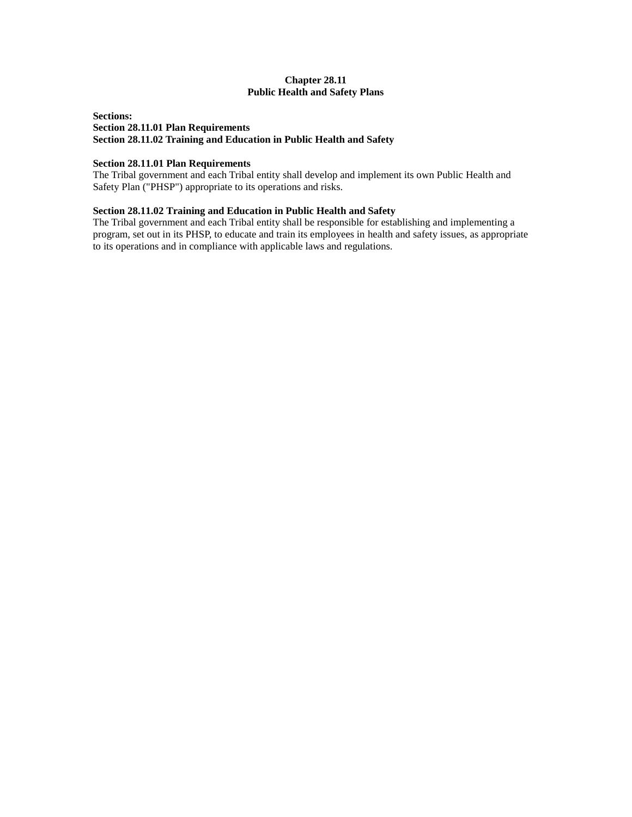## **Chapter 28.11 Public Health and Safety Plans**

## <span id="page-16-0"></span>**Sections: Section 28.11.01 Plan Requirements Section 28.11.02 Training and Education in Public Health and Safety**

#### **Section 28.11.01 Plan Requirements**

The Tribal government and each Tribal entity shall develop and implement its own Public Health and Safety Plan ("PHSP") appropriate to its operations and risks.

## **Section 28.11.02 Training and Education in Public Health and Safety**

The Tribal government and each Tribal entity shall be responsible for establishing and implementing a program, set out in its PHSP, to educate and train its employees in health and safety issues, as appropriate to its operations and in compliance with applicable laws and regulations.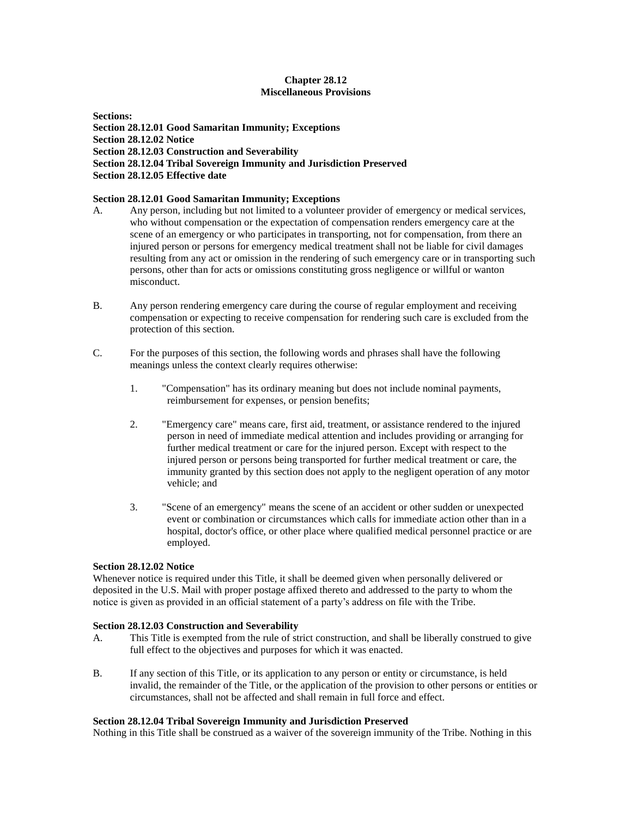## **Chapter 28.12 Miscellaneous Provisions**

<span id="page-17-0"></span>**Sections: Section 28.12.01 Good Samaritan Immunity; Exceptions Section 28.12.02 Notice Section 28.12.03 Construction and Severability Section 28.12.04 Tribal Sovereign Immunity and Jurisdiction Preserved Section 28.12.05 Effective date**

## **Section 28.12.01 Good Samaritan Immunity; Exceptions**

- A. Any person, including but not limited to a volunteer provider of emergency or medical services, who without compensation or the expectation of compensation renders emergency care at the scene of an emergency or who participates in transporting, not for compensation, from there an injured person or persons for emergency medical treatment shall not be liable for civil damages resulting from any act or omission in the rendering of such emergency care or in transporting such persons, other than for acts or omissions constituting gross negligence or willful or wanton misconduct.
- B. Any person rendering emergency care during the course of regular employment and receiving compensation or expecting to receive compensation for rendering such care is excluded from the protection of this section.
- C. For the purposes of this section, the following words and phrases shall have the following meanings unless the context clearly requires otherwise:
	- 1. "Compensation" has its ordinary meaning but does not include nominal payments, reimbursement for expenses, or pension benefits;
	- 2. "Emergency care" means care, first aid, treatment, or assistance rendered to the injured person in need of immediate medical attention and includes providing or arranging for further medical treatment or care for the injured person. Except with respect to the injured person or persons being transported for further medical treatment or care, the immunity granted by this section does not apply to the negligent operation of any motor vehicle; and
	- 3. "Scene of an emergency" means the scene of an accident or other sudden or unexpected event or combination or circumstances which calls for immediate action other than in a hospital, doctor's office, or other place where qualified medical personnel practice or are employed.

#### **Section 28.12.02 Notice**

Whenever notice is required under this Title, it shall be deemed given when personally delivered or deposited in the U.S. Mail with proper postage affixed thereto and addressed to the party to whom the notice is given as provided in an official statement of a party's address on file with the Tribe.

#### **Section 28.12.03 Construction and Severability**

- A. This Title is exempted from the rule of strict construction, and shall be liberally construed to give full effect to the objectives and purposes for which it was enacted.
- B. If any section of this Title, or its application to any person or entity or circumstance, is held invalid, the remainder of the Title, or the application of the provision to other persons or entities or circumstances, shall not be affected and shall remain in full force and effect.

#### **Section 28.12.04 Tribal Sovereign Immunity and Jurisdiction Preserved**

Nothing in this Title shall be construed as a waiver of the sovereign immunity of the Tribe. Nothing in this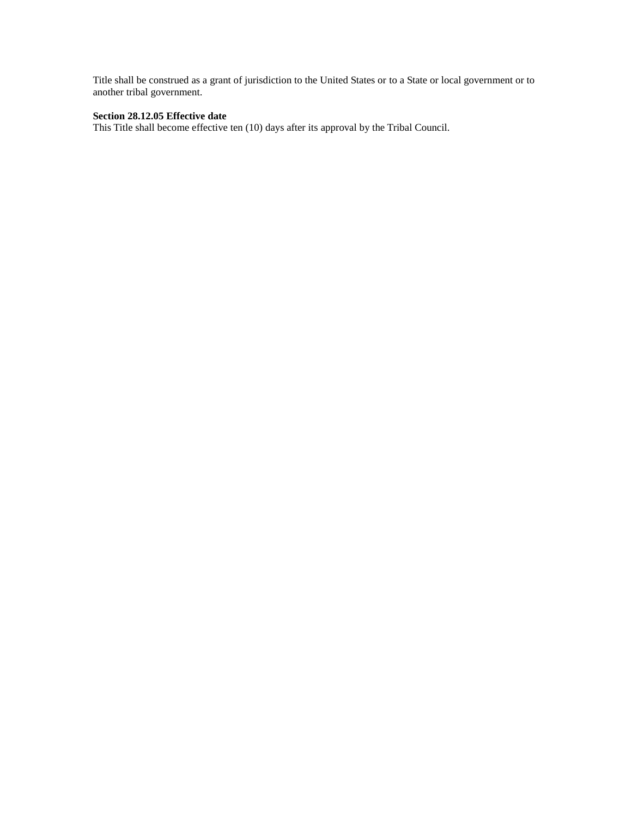Title shall be construed as a grant of jurisdiction to the United States or to a State or local government or to another tribal government.

# **Section 28.12.05 Effective date**

This Title shall become effective ten (10) days after its approval by the Tribal Council.